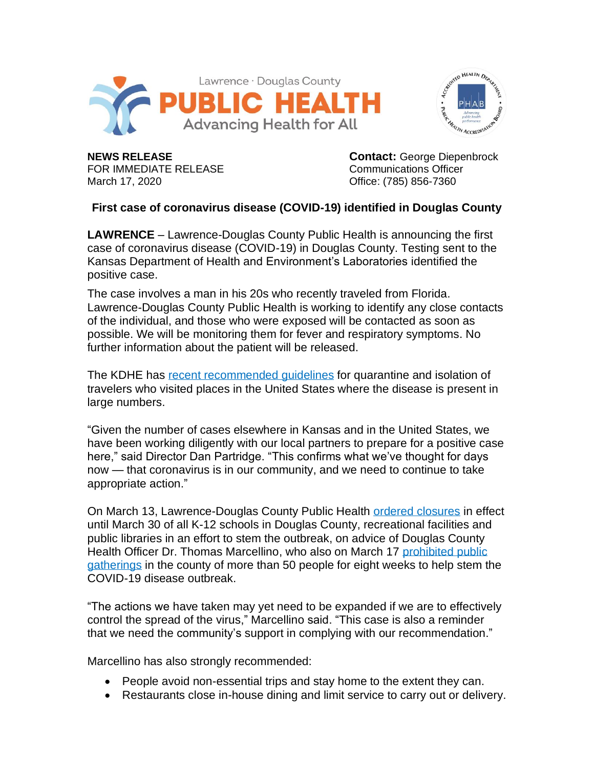



FOR IMMEDIATE RELEASE **COMMUNICATION** Communications Officer March 17, 2020 **Contract 20 and 20 and 20 and 20 and 20 and 20 and 20 and 20 and 20 and 20 and 20 and 20 and 20** 

**NEWS RELEASE Contact:** George Diepenbrock

## **First case of coronavirus disease (COVID-19) identified in Douglas County**

**LAWRENCE** – Lawrence-Douglas County Public Health is announcing the first case of coronavirus disease (COVID-19) in Douglas County. Testing sent to the Kansas Department of Health and Environment's Laboratories identified the positive case.

The case involves a man in his 20s who recently traveled from Florida. Lawrence-Douglas County Public Health is working to identify any close contacts of the individual, and those who were exposed will be contacted as soon as possible. We will be monitoring them for fever and respiratory symptoms. No further information about the patient will be released.

The KDHE has [recent recommended guidelines](https://khap2.kdhe.state.ks.us/NewsRelease/PDFs/3-15-20%20Quarantine%20recommendations%20FINAL.pdf) for quarantine and isolation of travelers who visited places in the United States where the disease is present in large numbers.

"Given the number of cases elsewhere in Kansas and in the United States, we have been working diligently with our local partners to prepare for a positive case here," said Director Dan Partridge. "This confirms what we've thought for days now — that coronavirus is in our community, and we need to continue to take appropriate action."

On March 13, Lawrence-Douglas County Public Health [ordered closures](http://bit.ly/2wTs1Uc) in effect until March 30 of all K-12 schools in Douglas County, recreational facilities and public libraries in an effort to stem the outbreak, on advice of Douglas County Health Officer Dr. Thomas Marcellino, who also on March 17 [prohibited public](http://bit.ly/3d3o9AF)  [gatherings](http://bit.ly/3d3o9AF) in the county of more than 50 people for eight weeks to help stem the COVID-19 disease outbreak.

"The actions we have taken may yet need to be expanded if we are to effectively control the spread of the virus," Marcellino said. "This case is also a reminder that we need the community's support in complying with our recommendation."

Marcellino has also strongly recommended:

- People avoid non-essential trips and stay home to the extent they can.
- Restaurants close in-house dining and limit service to carry out or delivery.